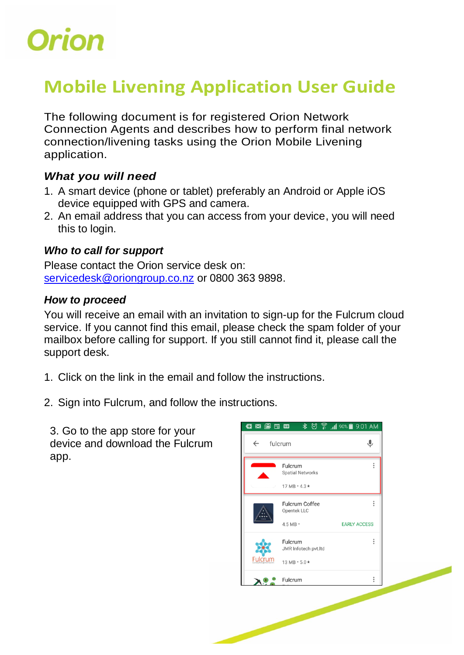

## **Mobile Livening Application User Guide**

The following document is for registered Orion Network Connection Agents and describes how to perform final network connection/livening tasks using the Orion Mobile Livening application.

## *What you will need*

- 1. A smart device (phone or tablet) preferably an Android or Apple iOS device equipped with GPS and camera.
- 2. An email address that you can access from your device, you will need this to login.

## *Who to call for support*

Please contact the Orion service desk on: [servicedesk@oriongroup.co.nz](mailto:servicedesk@oriongroup.co.nz) or 0800 363 9898.

## *How to proceed*

You will receive an email with an invitation to sign-up for the Fulcrum cloud service. If you cannot find this email, please check the spam folder of your mailbox before calling for support. If you still cannot find it, please call the support desk.

- 1. Click on the link in the email and follow the instructions.
- 2. Sign into Fulcrum, and follow the instructions.

3. Go to the app store for your device and download the Fulcrum app.

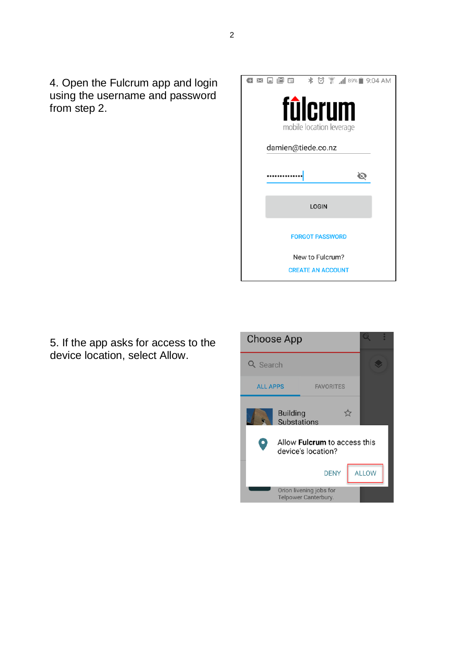4. Open the Fulcrum app and login using the username and password from step 2.

|                        | <b>¤ □ □ □</b> ★ ⑦ ͡ ,1189% ■ 9:04 AM |  |  |  |
|------------------------|---------------------------------------|--|--|--|
|                        | fûlcrum<br>mobile location leverage   |  |  |  |
| damien@tiede.co.nz     |                                       |  |  |  |
|                        |                                       |  |  |  |
|                        | <b>LOGIN</b>                          |  |  |  |
| <b>FORGOT PASSWORD</b> |                                       |  |  |  |
| New to Fulcrum?        |                                       |  |  |  |
|                        | <b>CREATE AN ACCOUNT</b>              |  |  |  |

5. If the app asks for access to the device location, select Allow.

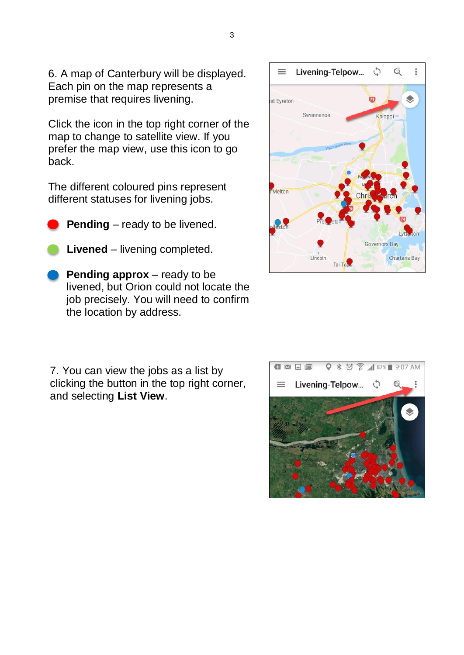6. A map of Canterbury will be displayed. Each pin on the map represents a premise that requires livening.

Click the icon in the top right corner of the map to change to satellite view. If you prefer the map view, use this icon to go back.

The different coloured pins represent different statuses for livening jobs.

- **Pending** ready to be livened.
- **Livened** livening completed.
- **Pending approx** ready to be livened, but Orion could not locate the job precisely. You will need to confirm the location by address.

7. You can view the jobs as a list by clicking the button in the top right corner, and selecting **List View**.



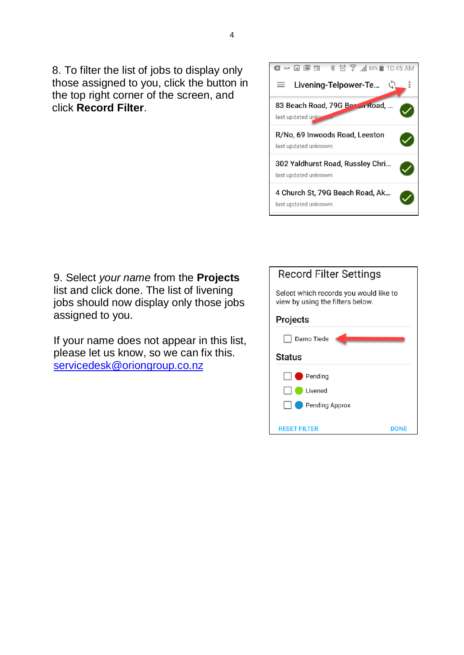8. To filter the list of jobs to display only those assigned to you, click the button in the top right corner of the screen, and click **Record Filter**.



9. Select *your name* from the **Projects** list and click done. The list of livening jobs should now display only those jobs assigned to you.

If your name does not appear in this list, please let us know, so we can fix this. [servicedesk@oriongroup.co.nz](mailto:servicedesk@oriongroup.co.nz)

| <b>Record Filter Settings</b>                                              |  |  |  |  |
|----------------------------------------------------------------------------|--|--|--|--|
|                                                                            |  |  |  |  |
| Select which records you would like to<br>view by using the filters below. |  |  |  |  |
|                                                                            |  |  |  |  |
| Projects                                                                   |  |  |  |  |
|                                                                            |  |  |  |  |
| Damo Tiede                                                                 |  |  |  |  |
| Status                                                                     |  |  |  |  |
| $\blacksquare$ Pending                                                     |  |  |  |  |
| Livened                                                                    |  |  |  |  |
| <b>Pending Approx</b>                                                      |  |  |  |  |
|                                                                            |  |  |  |  |
| <b>RESET FILTER</b><br>DONF                                                |  |  |  |  |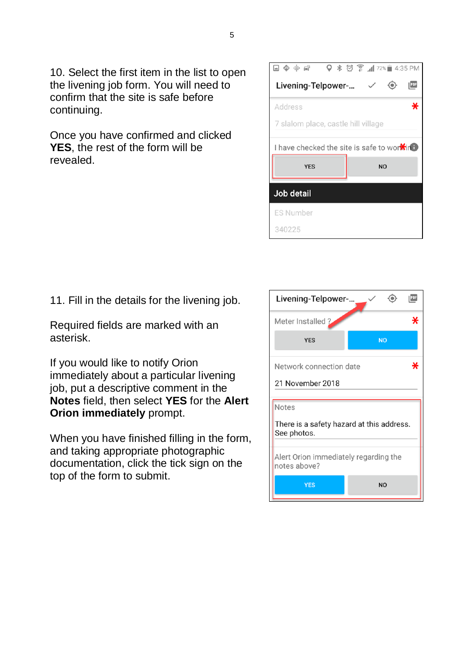10. Select the first item in the list to open the livening job form. You will need to confirm that the site is safe before continuing.

Once you have confirmed and clicked **YES**, the rest of the form will be revealed.

|                                                     | $\heartsuit$ $\frac{1}{8}$ $\frac{1}{8}$ $\frac{1}{11}$ 72% $\frac{1}{8}$ 4:35 PM |  |  |  |  |
|-----------------------------------------------------|-----------------------------------------------------------------------------------|--|--|--|--|
| Livening-Telpower- $\checkmark$<br>PDF              |                                                                                   |  |  |  |  |
| ∗<br>Address                                        |                                                                                   |  |  |  |  |
| 7 slalom place, castle hill village                 |                                                                                   |  |  |  |  |
| I have checked the site is safe to wor <b>X</b> ird |                                                                                   |  |  |  |  |
| <b>YES</b>                                          | <b>NO</b>                                                                         |  |  |  |  |
| Job detail                                          |                                                                                   |  |  |  |  |
|                                                     |                                                                                   |  |  |  |  |
| <b>ES Number</b>                                    |                                                                                   |  |  |  |  |

11. Fill in the details for the livening job.

Required fields are marked with an asterisk.

If you would like to notify Orion immediately about a particular livening job, put a descriptive comment in the **Notes** field, then select **YES** for the **Alert Orion immediately** prompt.

When you have finished filling in the form, and taking appropriate photographic documentation, click the tick sign on the top of the form to submit.

| Livening-Telpower-<br>PDF                                         |                |  |  |  |
|-------------------------------------------------------------------|----------------|--|--|--|
| Meter Installed ?<br>∗                                            |                |  |  |  |
| <b>YES</b>                                                        | <b>NO</b>      |  |  |  |
| Network connection date<br>x<br>21 November 2018                  |                |  |  |  |
| Notes<br>There is a safety hazard at this address.<br>See photos. |                |  |  |  |
| Alert Orion immediately regarding the<br>notes above?             |                |  |  |  |
| <b>YES</b>                                                        | N <sub>O</sub> |  |  |  |